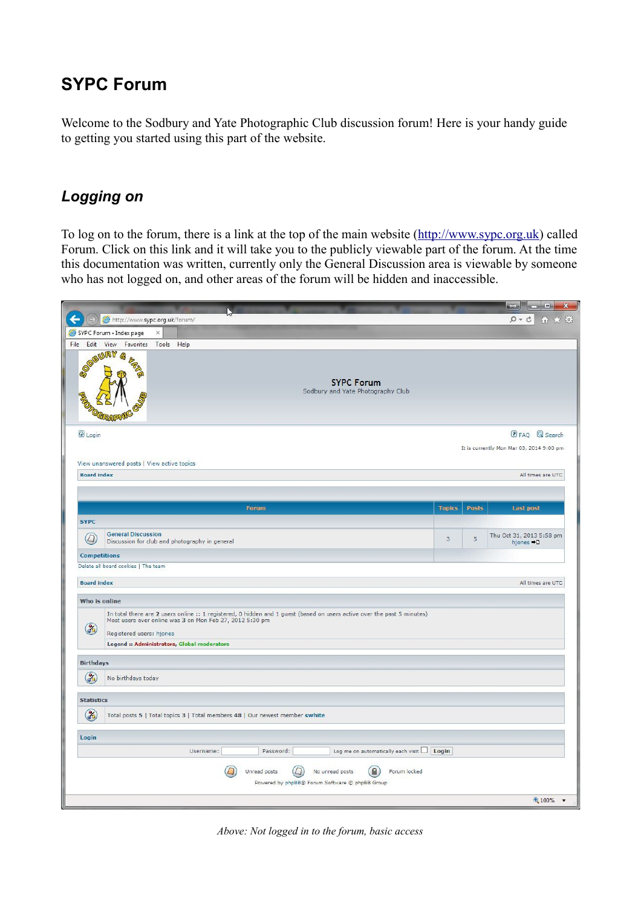# **SYPC Forum**

Welcome to the Sodbury and Yate Photographic Club discussion forum! Here is your handy guide to getting you started using this part of the website.

### *Logging on*

To log on to the forum, there is a link at the top of the main website [\(http://www.sypc.org.uk\)](http://www.sypc.org.uk/) called Forum. Click on this link and it will take you to the publicly viewable part of the forum. At the time this documentation was written, currently only the General Discussion area is viewable by someone who has not logged on, and other areas of the forum will be hidden and inaccessible.



*Above: Not logged in to the forum, basic access*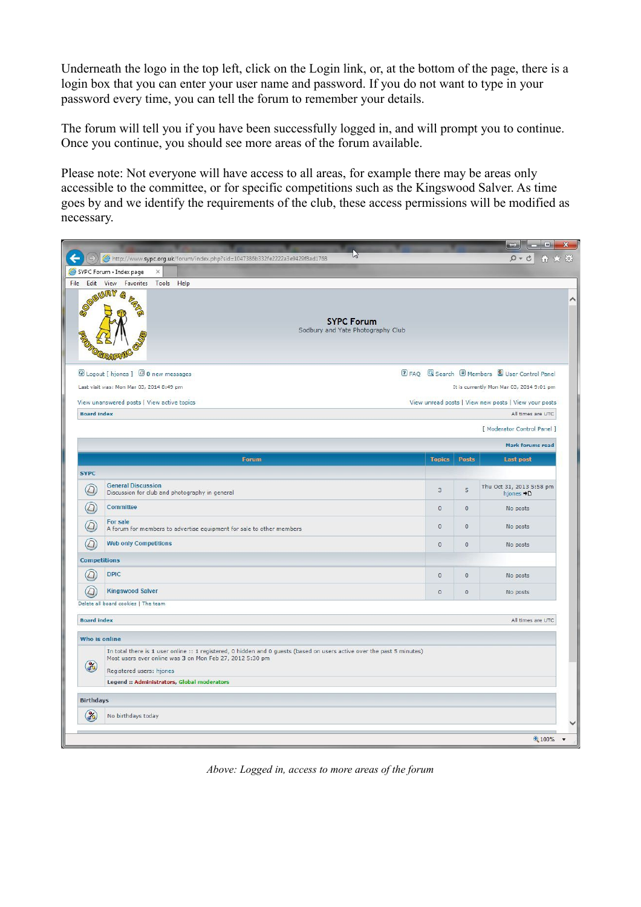Underneath the logo in the top left, click on the Login link, or, at the bottom of the page, there is a login box that you can enter your user name and password. If you do not want to type in your password every time, you can tell the forum to remember your details.

The forum will tell you if you have been successfully logged in, and will prompt you to continue. Once you continue, you should see more areas of the forum available.

Please note: Not everyone will have access to all areas, for example there may be areas only accessible to the committee, or for specific competitions such as the Kingswood Salver. As time goes by and we identify the requirements of the club, these access permissions will be modified as necessary.



*Above: Logged in, access to more areas of the forum*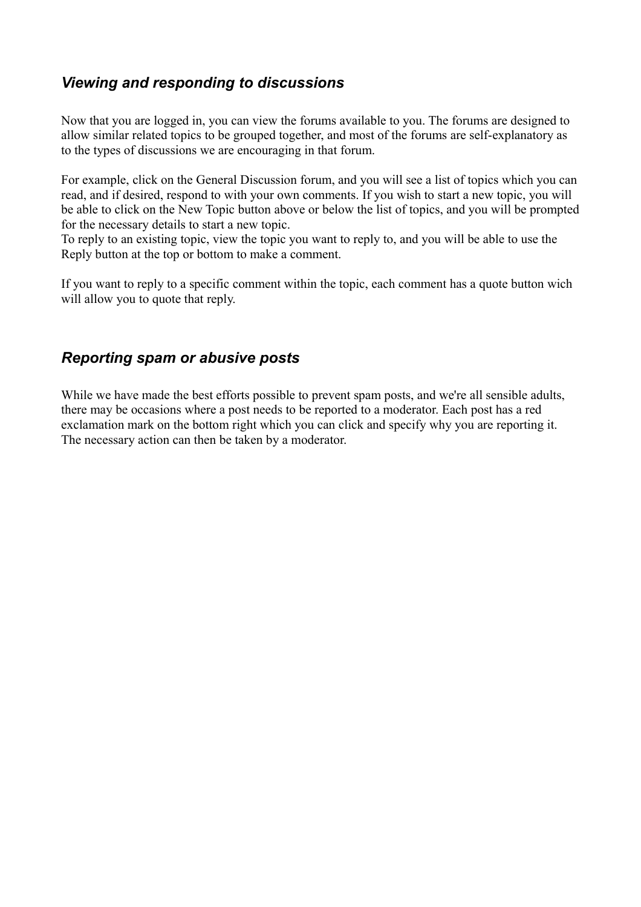## *Viewing and responding to discussions*

Now that you are logged in, you can view the forums available to you. The forums are designed to allow similar related topics to be grouped together, and most of the forums are self-explanatory as to the types of discussions we are encouraging in that forum.

For example, click on the General Discussion forum, and you will see a list of topics which you can read, and if desired, respond to with your own comments. If you wish to start a new topic, you will be able to click on the New Topic button above or below the list of topics, and you will be prompted for the necessary details to start a new topic.

To reply to an existing topic, view the topic you want to reply to, and you will be able to use the Reply button at the top or bottom to make a comment.

If you want to reply to a specific comment within the topic, each comment has a quote button wich will allow you to quote that reply.

#### *Reporting spam or abusive posts*

While we have made the best efforts possible to prevent spam posts, and we're all sensible adults, there may be occasions where a post needs to be reported to a moderator. Each post has a red exclamation mark on the bottom right which you can click and specify why you are reporting it. The necessary action can then be taken by a moderator.